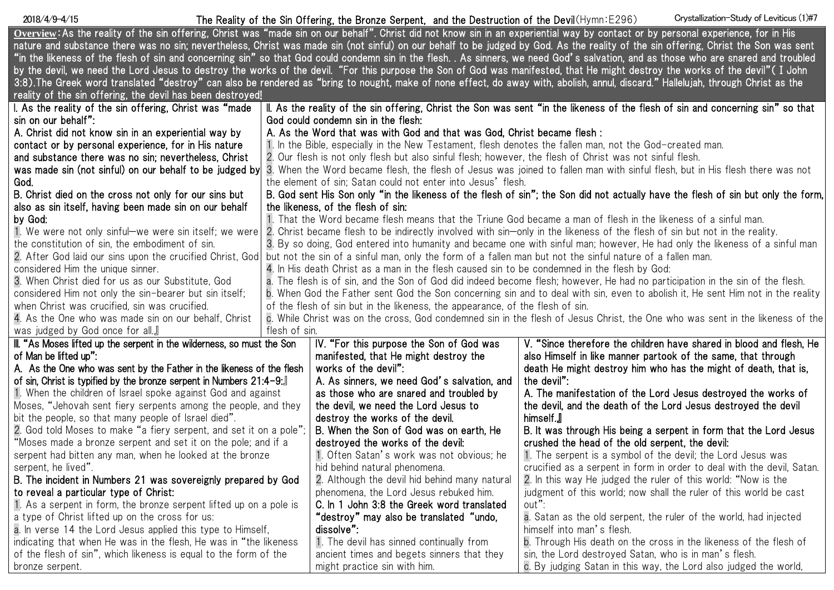## The Reality of the Sin Offering, the Bronze Serpent, and the Destruction of the Devil(Hymn:E296) 2018/4/9-4/15 Crystallization-Study of Leviticus (1)#7

| Overview: As the reality of the sin offering, Christ was "made sin on our behalf". Christ did not know sin in an experiential way by contact or by personal experience, for in His |                                                                                                                                                                     |                                                                                                                              |                                                                                                                                                                                      |  |  |  |
|------------------------------------------------------------------------------------------------------------------------------------------------------------------------------------|---------------------------------------------------------------------------------------------------------------------------------------------------------------------|------------------------------------------------------------------------------------------------------------------------------|--------------------------------------------------------------------------------------------------------------------------------------------------------------------------------------|--|--|--|
|                                                                                                                                                                                    |                                                                                                                                                                     |                                                                                                                              | nature and substance there was no sin; nevertheless, Christ was made sin (not sinful) on our behalf to be judged by God. As the reality of the sin offering, Christ the Son was sent |  |  |  |
|                                                                                                                                                                                    |                                                                                                                                                                     |                                                                                                                              | "in the likeness of the flesh of sin and concerning sin" so that God could condemn sin in the flesh. . As sinners, we need God's salvation, and as those who are snared and troubled |  |  |  |
| by the devil, we need the Lord Jesus to destroy the works of the devil. "For this purpose the Son of God was manifested, that He might destroy the works of the devil" (I John     |                                                                                                                                                                     |                                                                                                                              |                                                                                                                                                                                      |  |  |  |
| 3:8). The Greek word translated "destroy" can also be rendered as "bring to nought, make of none effect, do away with, abolish, annul, discard." Hallelujah, through Christ as the |                                                                                                                                                                     |                                                                                                                              |                                                                                                                                                                                      |  |  |  |
| reality of the sin offering, the devil has been destroyed!                                                                                                                         |                                                                                                                                                                     |                                                                                                                              |                                                                                                                                                                                      |  |  |  |
| I. As the reality of the sin offering, Christ was "made                                                                                                                            |                                                                                                                                                                     |                                                                                                                              | II. As the reality of the sin offering, Christ the Son was sent "in the likeness of the flesh of sin and concerning sin" so that                                                     |  |  |  |
| sin on our behalf":                                                                                                                                                                |                                                                                                                                                                     | God could condemn sin in the flesh:                                                                                          |                                                                                                                                                                                      |  |  |  |
| A. Christ did not know sin in an experiential way by                                                                                                                               | A. As the Word that was with God and that was God, Christ became flesh :                                                                                            |                                                                                                                              |                                                                                                                                                                                      |  |  |  |
| contact or by personal experience, for in His nature                                                                                                                               | 1. In the Bible, especially in the New Testament, flesh denotes the fallen man, not the God-created man.                                                            |                                                                                                                              |                                                                                                                                                                                      |  |  |  |
| and substance there was no sin; nevertheless, Christ                                                                                                                               | 2. Our flesh is not only flesh but also sinful flesh; however, the flesh of Christ was not sinful flesh.                                                            |                                                                                                                              |                                                                                                                                                                                      |  |  |  |
| was made sin (not sinful) on our behalf to be judged by                                                                                                                            |                                                                                                                                                                     | 3. When the Word became flesh, the flesh of Jesus was joined to fallen man with sinful flesh, but in His flesh there was not |                                                                                                                                                                                      |  |  |  |
| God.                                                                                                                                                                               | the element of sin; Satan could not enter into Jesus' flesh.                                                                                                        |                                                                                                                              |                                                                                                                                                                                      |  |  |  |
| B. Christ died on the cross not only for our sins but                                                                                                                              |                                                                                                                                                                     |                                                                                                                              | B. God sent His Son only "in the likeness of the flesh of sin"; the Son did not actually have the flesh of sin but only the form,                                                    |  |  |  |
| also as sin itself, having been made sin on our behalf                                                                                                                             | the likeness, of the flesh of sin:                                                                                                                                  |                                                                                                                              |                                                                                                                                                                                      |  |  |  |
| by God:                                                                                                                                                                            | 1. That the Word became flesh means that the Triune God became a man of flesh in the likeness of a sinful man.                                                      |                                                                                                                              |                                                                                                                                                                                      |  |  |  |
| 1. We were not only sinful-we were sin itself; we were                                                                                                                             | 2. Christ became flesh to be indirectly involved with sin—only in the likeness of the flesh of sin but not in the reality.                                          |                                                                                                                              |                                                                                                                                                                                      |  |  |  |
| the constitution of sin, the embodiment of sin.                                                                                                                                    | 3. By so doing, God entered into humanity and became one with sinful man; however, He had only the likeness of a sinful man                                         |                                                                                                                              |                                                                                                                                                                                      |  |  |  |
|                                                                                                                                                                                    | 2. After God laid our sins upon the crucified Christ, God but not the sin of a sinful man, only the form of a fallen man but not the sinful nature of a fallen man. |                                                                                                                              |                                                                                                                                                                                      |  |  |  |
| considered Him the unique sinner.                                                                                                                                                  | 4. In His death Christ as a man in the flesh caused sin to be condemned in the flesh by God:                                                                        |                                                                                                                              |                                                                                                                                                                                      |  |  |  |
| 3. When Christ died for us as our Substitute, God                                                                                                                                  | a. The flesh is of sin, and the Son of God did indeed become flesh; however, He had no participation in the sin of the flesh.                                       |                                                                                                                              |                                                                                                                                                                                      |  |  |  |
| considered Him not only the sin-bearer but sin itself;                                                                                                                             | b. When God the Father sent God the Son concerning sin and to deal with sin, even to abolish it, He sent Him not in the reality                                     |                                                                                                                              |                                                                                                                                                                                      |  |  |  |
| when Christ was crucified, sin was crucified.                                                                                                                                      | of the flesh of sin but in the likeness, the appearance, of the flesh of sin.                                                                                       |                                                                                                                              |                                                                                                                                                                                      |  |  |  |
| 4. As the One who was made sin on our behalf, Christ                                                                                                                               | c. While Christ was on the cross, God condemned sin in the flesh of Jesus Christ, the One who was sent in the likeness of the                                       |                                                                                                                              |                                                                                                                                                                                      |  |  |  |
| was judged by God once for all.                                                                                                                                                    | flesh of sin.                                                                                                                                                       |                                                                                                                              |                                                                                                                                                                                      |  |  |  |
| III. "As Moses lifted up the serpent in the wilderness, so must the Son                                                                                                            |                                                                                                                                                                     | IV. "For this purpose the Son of God was                                                                                     | V. "Since therefore the children have shared in blood and flesh, He                                                                                                                  |  |  |  |
| of Man be lifted up":                                                                                                                                                              |                                                                                                                                                                     | manifested, that He might destroy the                                                                                        | also Himself in like manner partook of the same, that through                                                                                                                        |  |  |  |
| A. As the One who was sent by the Father in the likeness of the flesh                                                                                                              |                                                                                                                                                                     | works of the devil":                                                                                                         | death He might destroy him who has the might of death, that is,                                                                                                                      |  |  |  |
| of sin, Christ is typified by the bronze serpent in Numbers 21:4-9:                                                                                                                |                                                                                                                                                                     | A. As sinners, we need God's salvation, and                                                                                  | the devil":                                                                                                                                                                          |  |  |  |
| 1. When the children of Israel spoke against God and against                                                                                                                       |                                                                                                                                                                     | as those who are snared and troubled by                                                                                      | A. The manifestation of the Lord Jesus destroyed the works of                                                                                                                        |  |  |  |
| Moses, "Jehovah sent fiery serpents among the people, and they                                                                                                                     |                                                                                                                                                                     | the devil, we need the Lord Jesus to                                                                                         | the devil, and the death of the Lord Jesus destroyed the devil                                                                                                                       |  |  |  |
| bit the people, so that many people of Israel died".                                                                                                                               |                                                                                                                                                                     | destroy the works of the devil.                                                                                              | himself. <b>J</b>                                                                                                                                                                    |  |  |  |
| 2. God told Moses to make "a fiery serpent, and set it on a pole"                                                                                                                  |                                                                                                                                                                     | B. When the Son of God was on earth, He                                                                                      | B. It was through His being a serpent in form that the Lord Jesus                                                                                                                    |  |  |  |
| "Moses made a bronze serpent and set it on the pole; and if a                                                                                                                      |                                                                                                                                                                     | destroyed the works of the devil:                                                                                            | crushed the head of the old serpent, the devil:                                                                                                                                      |  |  |  |
| serpent had bitten any man, when he looked at the bronze                                                                                                                           |                                                                                                                                                                     | 1. Often Satan's work was not obvious; he                                                                                    | 1. The serpent is a symbol of the devil; the Lord Jesus was                                                                                                                          |  |  |  |
| serpent, he lived".                                                                                                                                                                |                                                                                                                                                                     | hid behind natural phenomena.                                                                                                | crucified as a serpent in form in order to deal with the devil, Satan.                                                                                                               |  |  |  |
| B. The incident in Numbers 21 was sovereignly prepared by God                                                                                                                      |                                                                                                                                                                     | 2. Although the devil hid behind many natural                                                                                | 2. In this way He judged the ruler of this world: "Now is the                                                                                                                        |  |  |  |
| to reveal a particular type of Christ:                                                                                                                                             |                                                                                                                                                                     | phenomena, the Lord Jesus rebuked him.                                                                                       | judgment of this world; now shall the ruler of this world be cast                                                                                                                    |  |  |  |
| 1. As a serpent in form, the bronze serpent lifted up on a pole is                                                                                                                 |                                                                                                                                                                     | C. In 1 John 3:8 the Greek word translated                                                                                   | out":                                                                                                                                                                                |  |  |  |
| a type of Christ lifted up on the cross for us:                                                                                                                                    |                                                                                                                                                                     | "destroy" may also be translated "undo,                                                                                      | a. Satan as the old serpent, the ruler of the world, had injected                                                                                                                    |  |  |  |
| a. In verse 14 the Lord Jesus applied this type to Himself,                                                                                                                        |                                                                                                                                                                     | dissolve":                                                                                                                   | himself into man's flesh.                                                                                                                                                            |  |  |  |
| indicating that when He was in the flesh, He was in "the likeness                                                                                                                  |                                                                                                                                                                     | 1. The devil has sinned continually from                                                                                     | b. Through His death on the cross in the likeness of the flesh of                                                                                                                    |  |  |  |
| of the flesh of sin", which likeness is equal to the form of the                                                                                                                   |                                                                                                                                                                     | ancient times and begets sinners that they                                                                                   | sin, the Lord destroyed Satan, who is in man's flesh.                                                                                                                                |  |  |  |
| bronze serpent.                                                                                                                                                                    |                                                                                                                                                                     | might practice sin with him.                                                                                                 | c. By judging Satan in this way, the Lord also judged the world,                                                                                                                     |  |  |  |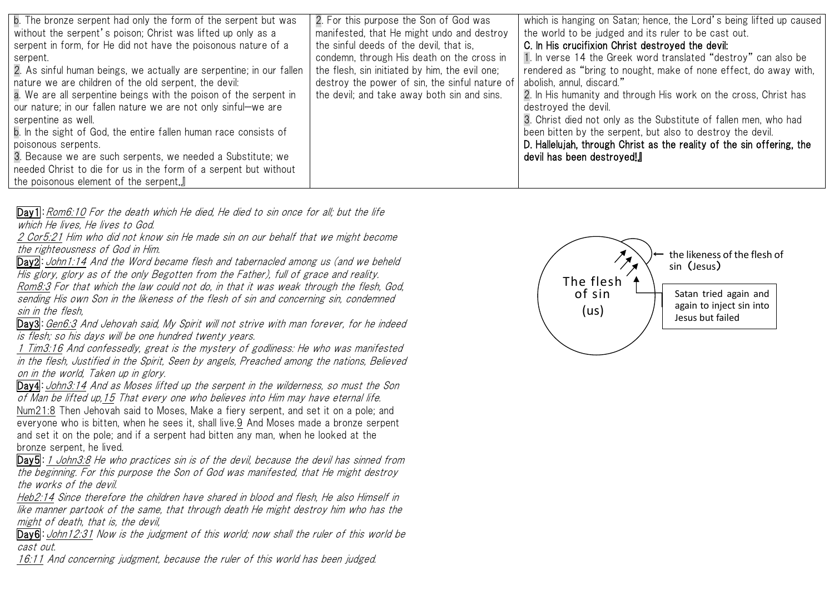| b. The bronze serpent had only the form of the serpent but was<br>without the serpent's poison; Christ was lifted up only as a<br>serpent in form, for He did not have the poisonous nature of a<br>serpent.<br>2. As sinful human beings, we actually are serpentine; in our fallen<br>nature we are children of the old serpent, the devil:<br>a. We are all serpentine beings with the poison of the serpent in<br>our nature; in our fallen nature we are not only sinful—we are<br>serpentine as well.<br>b. In the sight of God, the entire fallen human race consists of<br>poisonous serpents.<br>3. Because we are such serpents, we needed a Substitute; we<br>needed Christ to die for us in the form of a serpent but without<br>the poisonous element of the serpent. | 2. For this purpose the Son of God was<br>manifested, that He might undo and destroy<br>the sinful deeds of the devil, that is,<br>condemn, through His death on the cross in<br>the flesh, sin initiated by him, the evil one;<br>destroy the power of sin, the sinful nature of<br>the devil; and take away both sin and sins. | which is hanging on Satan; hence, the Lord's being lifted up caused<br>the world to be judged and its ruler to be cast out.<br>C. In His crucifixion Christ destroyed the devil:<br>1. In verse 14 the Greek word translated "destroy" can also be<br>rendered as "bring to nought, make of none effect, do away with,<br>abolish, annul, discard."<br>2. In His humanity and through His work on the cross, Christ has<br>destroyed the devil.<br>3. Christ died not only as the Substitute of fallen men, who had<br>been bitten by the serpent, but also to destroy the devil.<br>D. Hallelujah, through Christ as the reality of the sin offering, the<br>devil has been destroyed!] |
|------------------------------------------------------------------------------------------------------------------------------------------------------------------------------------------------------------------------------------------------------------------------------------------------------------------------------------------------------------------------------------------------------------------------------------------------------------------------------------------------------------------------------------------------------------------------------------------------------------------------------------------------------------------------------------------------------------------------------------------------------------------------------------|----------------------------------------------------------------------------------------------------------------------------------------------------------------------------------------------------------------------------------------------------------------------------------------------------------------------------------|------------------------------------------------------------------------------------------------------------------------------------------------------------------------------------------------------------------------------------------------------------------------------------------------------------------------------------------------------------------------------------------------------------------------------------------------------------------------------------------------------------------------------------------------------------------------------------------------------------------------------------------------------------------------------------------|
|------------------------------------------------------------------------------------------------------------------------------------------------------------------------------------------------------------------------------------------------------------------------------------------------------------------------------------------------------------------------------------------------------------------------------------------------------------------------------------------------------------------------------------------------------------------------------------------------------------------------------------------------------------------------------------------------------------------------------------------------------------------------------------|----------------------------------------------------------------------------------------------------------------------------------------------------------------------------------------------------------------------------------------------------------------------------------------------------------------------------------|------------------------------------------------------------------------------------------------------------------------------------------------------------------------------------------------------------------------------------------------------------------------------------------------------------------------------------------------------------------------------------------------------------------------------------------------------------------------------------------------------------------------------------------------------------------------------------------------------------------------------------------------------------------------------------------|

Day1: Rom6:10 For the death which He died. He died to sin once for all; but the life which He lives, He lives to God.

2 Cor5:21 Him who did not know sin He made sin on our behalf that we might become the righteousness of God in Him.

Day2: John1:14 And the Word became flesh and tabernacled among us (and we beheld His glory, glory as of the only Begotten from the Father), full of grace and reality.

Rom8:3 For that which the law could not do, in that it was weak through the flesh, God, sending His own Son in the likeness of the flesh of sin and concerning sin, condemned sin in the flesh,

Day3: Gen6:3 And Jehovah said. My Spirit will not strive with man forever, for he indeed is flesh; so his days will be one hundred twenty years.

1 Tim3:16 And confessedly, great is the mystery of godliness: He who was manifested in the flesh, Justified in the Spirit, Seen by angels, Preached among the nations, Believed on in the world, Taken up in glory.

Day4: John3:14 And as Moses lifted up the serpent in the wilderness, so must the Son of Man be lifted up,15 That every one who believes into Him may have eternal life. Num21:8 Then Jehovah said to Moses, Make a fiery serpent, and set it on a pole; and everyone who is bitten, when he sees it, shall live.9 And Moses made a bronze serpent and set it on the pole; and if a serpent had bitten any man, when he looked at the bronze serpent, he lived.

Day5: 1 John3:8 He who practices sin is of the devil, because the devil has sinned from the beginning. For this purpose the Son of God was manifested, that He might destroy the works of the devil.

Heb2:14 Since therefore the children have shared in blood and flesh, He also Himself in like manner partook of the same, that through death He might destroy him who has the might of death, that is, the devil,

Day6: John12:31 Now is the judgment of this world; now shall the ruler of this world be cast out.

16:11 And concerning judgment, because the ruler of this world has been judged.

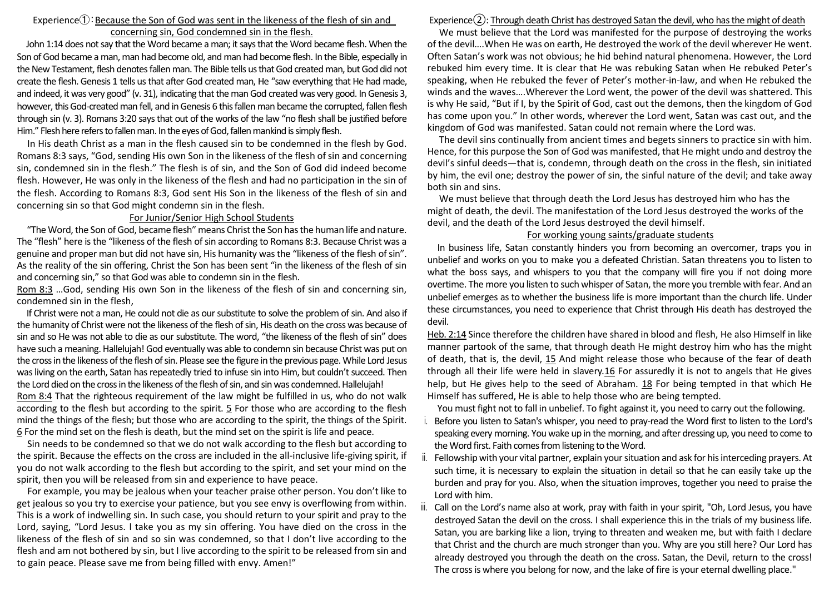### Experience $\left( \hat{\theta} \right)$ : Because the Son of God was sent in the likeness of the flesh of sin and concerning sin, God condemned sin in the flesh.

John 1:14 does not say that the Word became a man; it says that the Word became flesh. When the Son of God became a man, man had become old, and man had become flesh. In the Bible, especially in the New Testament, flesh denotes fallen man. The Bible tells us that God created man, but God did not create the flesh. Genesis 1 tells us that after God created man, He "saw everything that He had made, and indeed, it was very good" (v. 31), indicating that the man God created was very good. In Genesis 3, however, this God-created man fell, and in Genesis 6 this fallen man became the corrupted, fallen flesh through sin (v. 3). Romans 3:20 says that out of the works of the law "no flesh shall be justified before Him." Flesh here refers to fallen man. In the eyes of God, fallen mankind is simply flesh.

In His death Christ as a man in the flesh caused sin to be condemned in the flesh by God. Romans 8:3 says, "God, sending His own Son in the likeness of the flesh of sin and concerning sin, condemned sin in the flesh." The flesh is of sin, and the Son of God did indeed become flesh. However, He was only in the likeness of the flesh and had no participation in the sin of the flesh. According to Romans 8:3, God sent His Son in the likeness of the flesh of sin and concerning sin so that God might condemn sin in the flesh.

#### For Junior/Senior High School Students

"The Word, the Son of God, became flesh" means Christ the Son has the human life and nature. The "flesh" here is the "likeness of the flesh of sin according to Romans 8:3. Because Christ was a genuine and proper man but did not have sin, His humanity was the "likeness of the flesh of sin". As the reality of the sin offering, Christ the Son has been sent "in the likeness of the flesh of sin and concerning sin," so that God was able to condemn sin in the flesh.

Rom 8:3 …God, sending His own Son in the likeness of the flesh of sin and concerning sin, condemned sin in the flesh,

If Christ were not a man, He could not die as our substitute to solve the problem of sin. And also if the humanity of Christ were not the likeness of the flesh of sin, His death on the cross was because of sin and so He was not able to die as our substitute. The word, "the likeness of the flesh of sin" does have such a meaning. Hallelujah! God eventually was able to condemn sin because Christ was put on the cross in the likeness of the flesh of sin. Please see the figure in the previous page. While Lord Jesus was living on the earth, Satan has repeatedly tried to infuse sin into Him, but couldn't succeed. Then the Lord died on the cross in the likeness of the flesh of sin, and sin was condemned. Hallelujah! Rom 8:4 That the righteous requirement of the law might be fulfilled in us, who do not walk according to the flesh but according to the spirit. 5 For those who are according to the flesh mind the things of the flesh; but those who are according to the spirit, the things of the Spirit. 6 For the mind set on the flesh is death, but the mind set on the spirit is life and peace.

Sin needs to be condemned so that we do not walk according to the flesh but according to the spirit. Because the effects on the cross are included in the all-inclusive life-giving spirit, if you do not walk according to the flesh but according to the spirit, and set your mind on the spirit, then you will be released from sin and experience to have peace.

For example, you may be jealous when your teacher praise other person. You don't like to get jealous so you try to exercise your patience, but you see envy is overflowing from within. This is a work of indwelling sin. In such case, you should return to your spirit and pray to the Lord, saying, "Lord Jesus. I take you as my sin offering. You have died on the cross in the likeness of the flesh of sin and so sin was condemned, so that I don't live according to the flesh and am not bothered by sin, but I live according to the spirit to be released from sin and to gain peace. Please save me from being filled with envy. Amen!"

# Experience $(2)$ : Through death Christ has destroyed Satan the devil, who has the might of death

We must believe that the Lord was manifested for the purpose of destroying the works of the devil….When He was on earth, He destroyed the work of the devil wherever He went. Often Satan's work was not obvious; he hid behind natural phenomena. However, the Lord rebuked him every time. It is clear that He was rebuking Satan when He rebuked Peter's speaking, when He rebuked the fever of Peter's mother-in-law, and when He rebuked the winds and the waves….Wherever the Lord went, the power of the devil was shattered. This is why He said, "But if I, by the Spirit of God, cast out the demons, then the kingdom of God has come upon you." In other words, wherever the Lord went, Satan was cast out, and the kingdom of God was manifested. Satan could not remain where the Lord was.

The devil sins continually from ancient times and begets sinners to practice sin with him. Hence, for this purpose the Son of God was manifested, that He might undo and destroy the devil's sinful deeds—that is, condemn, through death on the cross in the flesh, sin initiated by him, the evil one; destroy the power of sin, the sinful nature of the devil; and take away both sin and sins.

We must believe that through death the Lord Jesus has destroyed him who has the might of death, the devil. The manifestation of the Lord Jesus destroyed the works of the devil, and the death of the Lord Jesus destroyed the devil himself.

#### For working young saints/graduate students

In business life, Satan constantly hinders you from becoming an overcomer, traps you in unbelief and works on you to make you a defeated Christian. Satan threatens you to listen to what the boss says, and whispers to you that the company will fire you if not doing more overtime. The more you listen to such whisper of Satan, the more you tremble with fear. And an unbelief emerges as to whether the business life is more important than the church life. Under these circumstances, you need to experience that Christ through His death has destroyed the devil.

Heb. 2:14 Since therefore the children have shared in blood and flesh, He also Himself in like manner partook of the same, that through death He might destroy him who has the might of death, that is, the devil, 15 And might release those who because of the fear of death through all their life were held in slavery.16 For assuredly it is not to angels that He gives help, but He gives help to the seed of Abraham. 18 For being tempted in that which He Himself has suffered, He is able to help those who are being tempted.

You must fight not to fall in unbelief. To fight against it, you need to carry out the following.

- i. Before you listen to Satan's whisper, you need to pray-read the Word first to listen to the Lord's speaking every morning. You wake up in the morning, and after dressing up, you need to come to the Word first. Faith comes from listening to the Word.
- Fellowship with your vital partner, explain your situation and ask for his interceding prayers. At such time, it is necessary to explain the situation in detail so that he can easily take up the burden and pray for you. Also, when the situation improves, together you need to praise the Lord with him.
- Call on the Lord's name also at work, pray with faith in your spirit, "Oh, Lord Jesus, you have destroyed Satan the devil on the cross. I shall experience this in the trials of my business life. Satan, you are barking like a lion, trying to threaten and weaken me, but with faith I declare that Christ and the church are much stronger than you. Why are you still here? Our Lord has already destroyed you through the death on the cross. Satan, the Devil, return to the cross! The cross is where you belong for now, and the lake of fire is your eternal dwelling place."